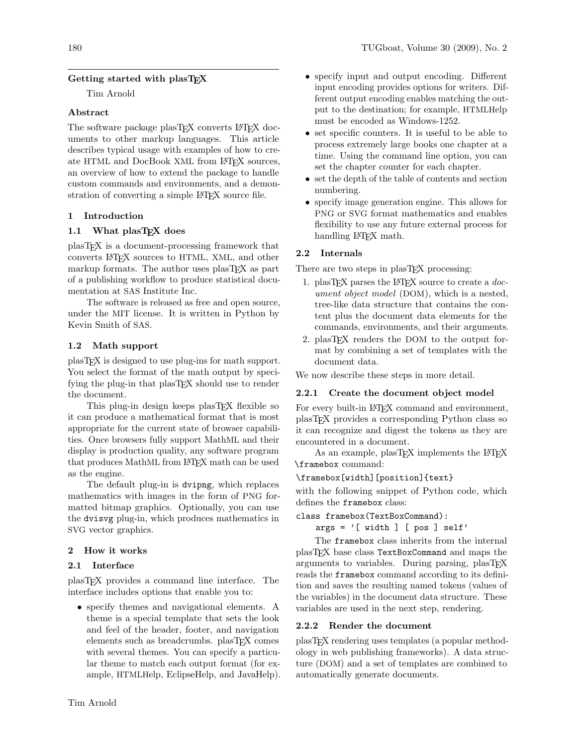# Getting started with plasT<sub>EX</sub>

Tim Arnold

### Abstract

The software package plasT<sub>EX</sub> converts L<sup>AT</sup>EX documents to other markup languages. This article describes typical usage with examples of how to create HTML and DocBook XML from LAT<sub>EX</sub> sources, an overview of how to extend the package to handle custom commands and environments, and a demonstration of converting a simple LATEX source file.

### 1 Introduction

### 1.1 What plasTFX does

plasTEX is a document-processing framework that converts LATEX sources to HTML, XML, and other markup formats. The author uses plasTEX as part of a publishing workflow to produce statistical documentation at SAS Institute Inc.

The software is released as free and open source, under the MIT license. It is written in Python by Kevin Smith of SAS.

### 1.2 Math support

plasTEX is designed to use plug-ins for math support. You select the format of the math output by specifying the plug-in that plasT<sub>EX</sub> should use to render the document.

This plug-in design keeps plasT<sub>E</sub>X flexible so it can produce a mathematical format that is most appropriate for the current state of browser capabilities. Once browsers fully support MathML and their display is production quality, any software program that produces MathML from LATEX math can be used as the engine.

The default plug-in is dvipng, which replaces mathematics with images in the form of PNG formatted bitmap graphics. Optionally, you can use the dvisvg plug-in, which produces mathematics in SVG vector graphics.

### 2 How it works

### 2.1 Interface

plasTEX provides a command line interface. The interface includes options that enable you to:

• specify themes and navigational elements. A theme is a special template that sets the look and feel of the header, footer, and navigation elements such as breadcrumbs. plasTFX comes with several themes. You can specify a particular theme to match each output format (for example, HTMLHelp, EclipseHelp, and JavaHelp).

- specify input and output encoding. Different input encoding provides options for writers. Different output encoding enables matching the output to the destination; for example, HTMLHelp must be encoded as Windows-1252.
- set specific counters. It is useful to be able to process extremely large books one chapter at a time. Using the command line option, you can set the chapter counter for each chapter.
- set the depth of the table of contents and section numbering.
- specify image generation engine. This allows for PNG or SVG format mathematics and enables flexibility to use any future external process for handling LAT<sub>EX</sub> math.

### 2.2 Internals

There are two steps in plasTEX processing:

- 1. plasTFX parses the LATFX source to create a  $doc$ ument object model (DOM), which is a nested, tree-like data structure that contains the content plus the document data elements for the commands, environments, and their arguments.
- 2. plasTEX renders the DOM to the output format by combining a set of templates with the document data.

We now describe these steps in more detail.

### 2.2.1 Create the document object model

For every built-in LAT<sub>F</sub>X command and environment, plasTEX provides a corresponding Python class so it can recognize and digest the tokens as they are encountered in a document.

As an example, plasTFX implements the LATFX \framebox command:

### \framebox[width][position]{text}

with the following snippet of Python code, which defines the framebox class:

```
class framebox(TextBoxCommand):
```
 $args = '[ width ] [ pos ] self'$ 

The framebox class inherits from the internal plasTEX base class TextBoxCommand and maps the arguments to variables. During parsing, plasTEX reads the framebox command according to its definition and saves the resulting named tokens (values of the variables) in the document data structure. These variables are used in the next step, rendering.

### 2.2.2 Render the document

plasTEX rendering uses templates (a popular methodology in web publishing frameworks). A data structure (DOM) and a set of templates are combined to automatically generate documents.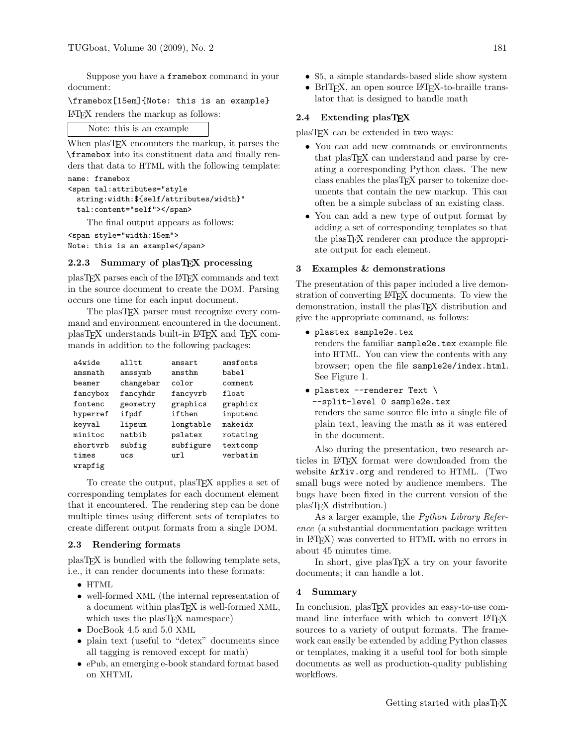Suppose you have a framebox command in your document:

\framebox[15em]{Note: this is an example} LATEX renders the markup as follows:

# Note: this is an example

When plasT<sub>E</sub>X encounters the markup, it parses the \framebox into its constituent data and finally renders that data to HTML with the following template:

```
name: framebox
<span tal:attributes="style
  string:width:${self/attributes/width}"
  tal:content="self"></span>
```
The final output appears as follows:

```
<span style="width:15em">
Note: this is an example</span>
```
## 2.2.3 Summary of plasTEX processing

plasTEX parses each of the LATEX commands and text in the source document to create the DOM. Parsing occurs one time for each input document.

The plasT<sub>E</sub>X parser must recognize every command and environment encountered in the document. plasTEX understands built-in LATEX and TEX commands in addition to the following packages:

| a4wide   | alltt.    | amsart    | amsfonts  |
|----------|-----------|-----------|-----------|
| amsmath  | amssymb   | amsthm    | babel     |
| heamer   | changebar | color     | comment   |
| fancybox | fancyhdr  | fancyvrb  | $f$ loat. |
| fontenc  | geometry  | graphics  | graphicx  |
| hyperref | ifpdf     | ifthen    | inputenc  |
| keyval   | lipsum    | longtable | makeidx   |
| minitoc  | natbib    | pslatex   | rotating  |
| shortyrb | subfig    | subfigure | textcomp  |
| times    | ucs       | url       | verbatim  |
| wrapfig  |           |           |           |

To create the output, plasT<sub>F</sub>X applies a set of corresponding templates for each document element that it encountered. The rendering step can be done multiple times using different sets of templates to create different output formats from a single DOM.

### 2.3 Rendering formats

plasTEX is bundled with the following template sets, i.e., it can render documents into these formats:

- HTML
- well-formed XML (the internal representation of a document within plasTEX is well-formed XML, which uses the plasT<sub>EX</sub> namespace)
- DocBook 4.5 and 5.0 XML
- plain text (useful to "detex" documents since all tagging is removed except for math)
- ePub, an emerging e-book standard format based on XHTML
- S5, a simple standards-based slide show system
- BrlT<sub>E</sub>X, an open source L<sup>A</sup>T<sub>E</sub>X-to-braille translator that is designed to handle math

## 2.4 Extending plasTEX

plasTEX can be extended in two ways:

- You can add new commands or environments that plasTEX can understand and parse by creating a corresponding Python class. The new class enables the plasTEX parser to tokenize documents that contain the new markup. This can often be a simple subclass of an existing class.
- You can add a new type of output format by adding a set of corresponding templates so that the plasTEX renderer can produce the appropriate output for each element.

#### 3 Examples & demonstrations

The presentation of this paper included a live demonstration of converting LAT<sub>EX</sub> documents. To view the demonstration, install the plasTEX distribution and give the appropriate command, as follows:

• plastex sample2e.tex

renders the familiar sample2e.tex example file into HTML. You can view the contents with any browser; open the file sample2e/index.html. See Figure [1.](#page-2-0)

• plastex --renderer Text \

--split-level 0 sample2e.tex renders the same source file into a single file of plain text, leaving the math as it was entered in the document.

Also during the presentation, two research articles in LATEX format were downloaded from the website <ArXiv.org> and rendered to HTML. (Two small bugs were noted by audience members. The bugs have been fixed in the current version of the plasTEX distribution.)

As a larger example, the Python Library Reference (a substantial documentation package written in LATEX) was converted to HTML with no errors in about 45 minutes time.

In short, give plasTEX a try on your favorite documents; it can handle a lot.

#### 4 Summary

In conclusion, plasTEX provides an easy-to-use command line interface with which to convert LAT<sub>EX</sub> sources to a variety of output formats. The framework can easily be extended by adding Python classes or templates, making it a useful tool for both simple documents as well as production-quality publishing workflows.